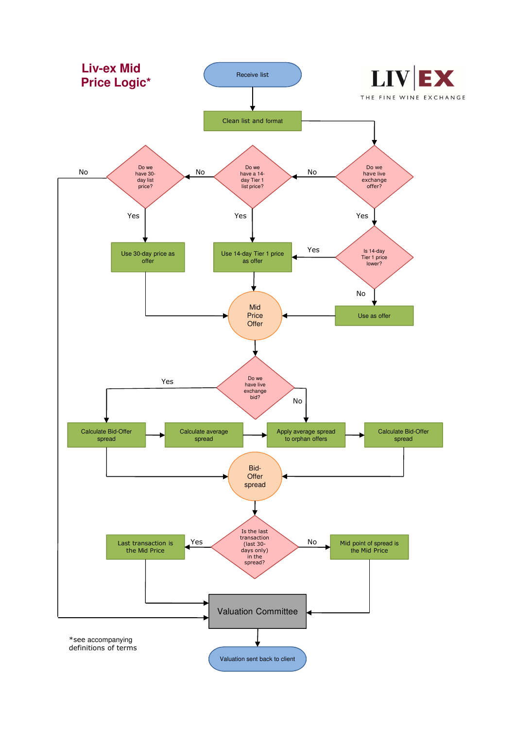